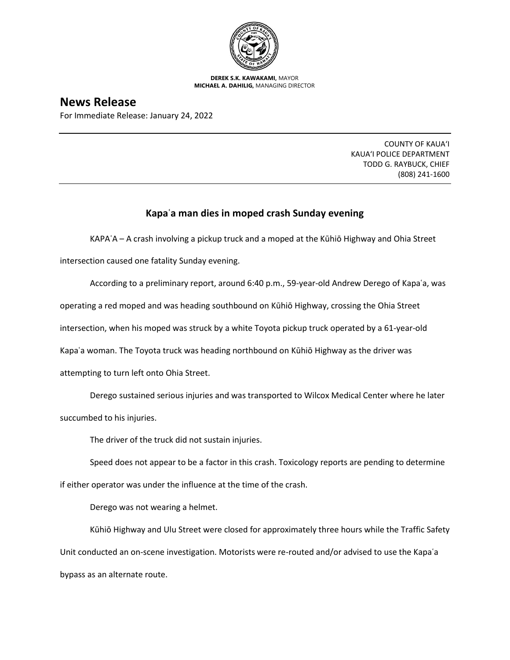

**DEREK S.K. KAWAKAMI,** MAYOR **MICHAEL A. DAHILIG,** MANAGING DIRECTOR

## **News Release**

For Immediate Release: January 24, 2022

COUNTY OF KAUA'I KAUA'I POLICE DEPARTMENT TODD G. RAYBUCK, CHIEF (808) 241-1600

## **Kapaʿa man dies in moped crash Sunday evening**

KAPAʿA – A crash involving a pickup truck and a moped at the Kūhiō Highway and Ohia Street

intersection caused one fatality Sunday evening.

According to a preliminary report, around 6:40 p.m., 59-year-old Andrew Derego of Kapaʿa, was operating a red moped and was heading southbound on Kūhiō Highway, crossing the Ohia Street intersection, when his moped was struck by a white Toyota pickup truck operated by a 61-year-old Kapaʿa woman. The Toyota truck was heading northbound on Kūhiō Highway as the driver was attempting to turn left onto Ohia Street.

Derego sustained serious injuries and was transported to Wilcox Medical Center where he later succumbed to his injuries.

The driver of the truck did not sustain injuries.

Speed does not appear to be a factor in this crash. Toxicology reports are pending to determine if either operator was under the influence at the time of the crash.

Derego was not wearing a helmet.

Kūhiō Highway and Ulu Street were closed for approximately three hours while the Traffic Safety Unit conducted an on-scene investigation. Motorists were re-routed and/or advised to use the Kapaʿa bypass as an alternate route.